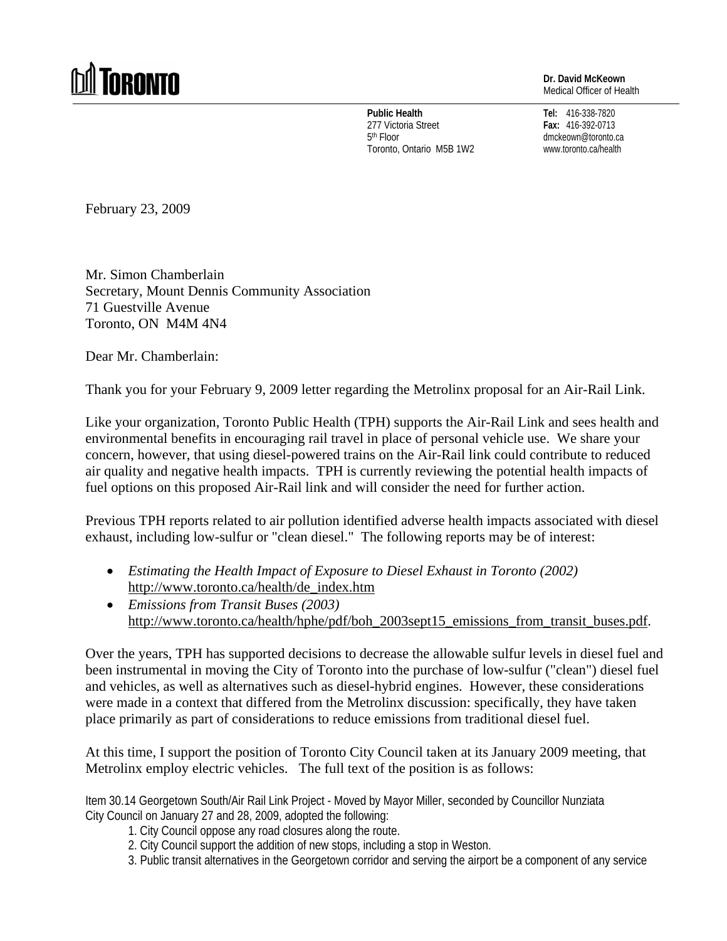## **M** TORONTO

**Dr. David McKeown** Medical Officer of Health

**Public Health**  277 Victoria Street 5th Floor Toronto, Ontario M5B 1W2

**Tel:** 416-338-7820 **Fax:** 416-392-0713 dmckeown@toronto.ca www.toronto.ca/health

February 23, 2009

Mr. Simon Chamberlain Secretary, Mount Dennis Community Association 71 Guestville Avenue Toronto, ON M4M 4N4

Dear Mr. Chamberlain:

Thank you for your February 9, 2009 letter regarding the Metrolinx proposal for an Air-Rail Link.

Like your organization, Toronto Public Health (TPH) supports the Air-Rail Link and sees health and environmental benefits in encouraging rail travel in place of personal vehicle use. We share your concern, however, that using diesel-powered trains on the Air-Rail link could contribute to reduced air quality and negative health impacts. TPH is currently reviewing the potential health impacts of fuel options on this proposed Air-Rail link and will consider the need for further action.

Previous TPH reports related to air pollution identified adverse health impacts associated with diesel exhaust, including low-sulfur or "clean diesel." The following reports may be of interest:

- *Estimating the Health Impact of Exposure to Diesel Exhaust in Toronto (2002)* [http://www.toronto.ca/health/de\\_index.htm](http://www.toronto.ca/health/de_index.htm)
- *Emissions from Transit Buses (2003)* [http://www.toronto.ca/health/hphe/pdf/boh\\_2003sept15\\_emissions\\_from\\_transit\\_buses.pdf.](http://www.toronto.ca/health/hphe/pdf/boh_2003sept15_emissions_from_transit_buses.pdf)

Over the years, TPH has supported decisions to decrease the allowable sulfur levels in diesel fuel and been instrumental in moving the City of Toronto into the purchase of low-sulfur ("clean") diesel fuel and vehicles, as well as alternatives such as diesel-hybrid engines. However, these considerations were made in a context that differed from the Metrolinx discussion: specifically, they have taken place primarily as part of considerations to reduce emissions from traditional diesel fuel.

At this time, I support the position of Toronto City Council taken at its January 2009 meeting, that Metrolinx employ electric vehicles. The full text of the position is as follows:

Item 30.14 Georgetown South/Air Rail Link Project - Moved by Mayor Miller, seconded by Councillor Nunziata City Council on January 27 and 28, 2009, adopted the following:

- 1. City Council oppose any road closures along the route.
- 2. City Council support the addition of new stops, including a stop in Weston.
- 3. Public transit alternatives in the Georgetown corridor and serving the airport be a component of any service